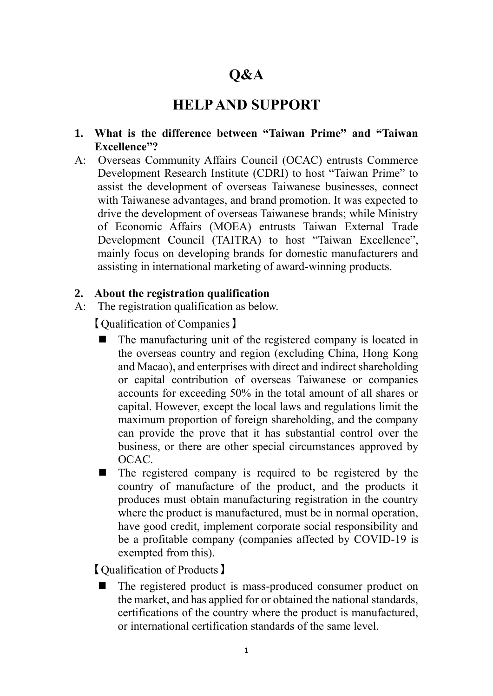# **Q&A**

## **HELP AND SUPPORT**

- **1. What is the difference between "Taiwan Prime" and "Taiwan Excellence"?**
- A: Overseas Community Affairs Council (OCAC) entrusts Commerce Development Research Institute (CDRI) to host "Taiwan Prime" to assist the development of overseas Taiwanese businesses, connect with Taiwanese advantages, and brand promotion. It was expected to drive the development of overseas Taiwanese brands; while Ministry of Economic Affairs (MOEA) entrusts Taiwan External Trade Development Council (TAITRA) to host "Taiwan Excellence", mainly focus on developing brands for domestic manufacturers and assisting in international marketing of award-winning products.

#### **2. About the registration qualification**

A: The registration qualification as below.

【Qualification of Companies】

- The manufacturing unit of the registered company is located in the overseas country and region (excluding China, Hong Kong and Macao), and enterprises with direct and indirect shareholding or capital contribution of overseas Taiwanese or companies accounts for exceeding 50% in the total amount of all shares or capital. However, except the local laws and regulations limit the maximum proportion of foreign shareholding, and the company can provide the prove that it has substantial control over the business, or there are other special circumstances approved by OCAC.
- The registered company is required to be registered by the country of manufacture of the product, and the products it produces must obtain manufacturing registration in the country where the product is manufactured, must be in normal operation, have good credit, implement corporate social responsibility and be a profitable company (companies affected by COVID-19 is exempted from this).

【Qualification of Products】

The registered product is mass-produced consumer product on the market, and has applied for or obtained the national standards, certifications of the country where the product is manufactured, or international certification standards of the same level.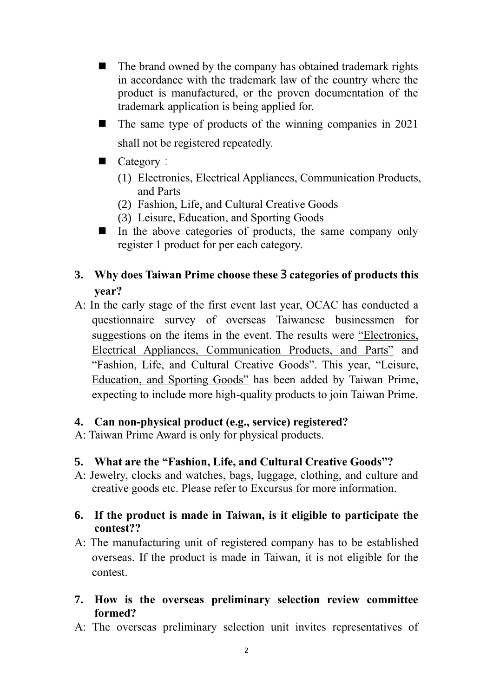- The brand owned by the company has obtained trademark rights in accordance with the trademark law of the country where the product is manufactured, or the proven documentation of the trademark application is being applied for.
- $\blacksquare$  The same type of products of the winning companies in 2021 shall not be registered repeatedly.
- Category:
	- (1) Electronics, Electrical Appliances, Communication Products, and Parts
	- (2) Fashion, Life, and Cultural Creative Goods
	- (3) Leisure, Education, and Sporting Goods
- $\blacksquare$  In the above categories of products, the same company only register 1 product for per each category.

## **3. Why does Taiwan Prime choose these3categories of products this year?**

A: In the early stage of the first event last year, OCAC has conducted a questionnaire survey of overseas Taiwanese businessmen for suggestions on the items in the event. The results were "Electronics, Electrical Appliances, Communication Products, and Parts" and "Fashion, Life, and Cultural Creative Goods". This year, "Leisure, Education, and Sporting Goods" has been added by Taiwan Prime, expecting to include more high-quality products to join Taiwan Prime.

## **4. Can non-physical product (e.g., service) registered?**

A: Taiwan Prime Award is only for physical products.

## **5. What are the "Fashion, Life, and Cultural Creative Goods"?**

A: Jewelry, clocks and watches, bags, luggage, clothing, and culture and creative goods etc. Please refer to Excursus for more information.

### **6. If the product is made in Taiwan, is it eligible to participate the contest??**

- A: The manufacturing unit of registered company has to be established overseas. If the product is made in Taiwan, it is not eligible for the contest.
- **7. How is the overseas preliminary selection review committee formed?**
- A: The overseas preliminary selection unit invites representatives of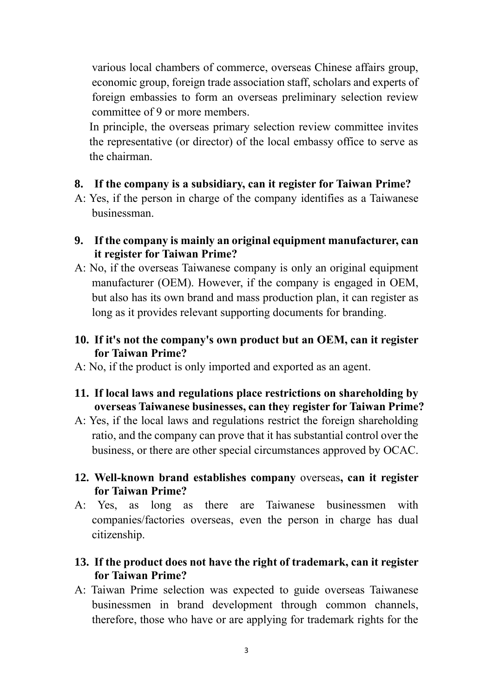various local chambers of commerce, overseas Chinese affairs group, economic group, foreign trade association staff, scholars and experts of foreign embassies to form an overseas preliminary selection review committee of 9 or more members.

In principle, the overseas primary selection review committee invites the representative (or director) of the local embassy office to serve as the chairman.

#### **8. If the company is a subsidiary, can it register for Taiwan Prime?**

- A: Yes, if the person in charge of the company identifies as a Taiwanese businessman.
- **9. If the company is mainly an original equipment manufacturer, can it register for Taiwan Prime?**
- A: No, if the overseas Taiwanese company is only an original equipment manufacturer (OEM). However, if the company is engaged in OEM, but also has its own brand and mass production plan, it can register as long as it provides relevant supporting documents for branding.

### **10. If it's not the company's own product but an OEM, can it register for Taiwan Prime?**

- A: No, if the product is only imported and exported as an agent.
- **11. If local laws and regulations place restrictions on shareholding by overseas Taiwanese businesses, can they register for Taiwan Prime?**
- A: Yes, if the local laws and regulations restrict the foreign shareholding ratio, and the company can prove that it has substantial control over the business, or there are other special circumstances approved by OCAC.
- **12. Well-known brand establishes company** overseas**, can it register for Taiwan Prime?**
- A: Yes, as long as there are Taiwanese businessmen with companies/factories overseas, even the person in charge has dual citizenship.

## **13. If the product does not have the right of trademark, can it register for Taiwan Prime?**

A: Taiwan Prime selection was expected to guide overseas Taiwanese businessmen in brand development through common channels, therefore, those who have or are applying for trademark rights for the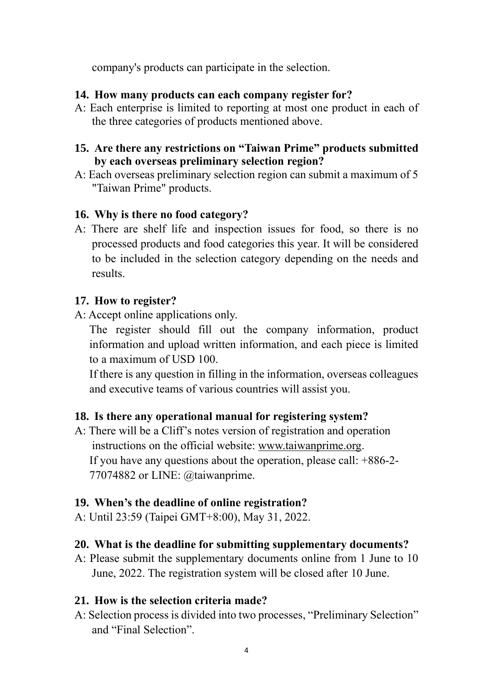company's products can participate in the selection.

#### **14. How many products can each company register for?**

A: Each enterprise is limited to reporting at most one product in each of the three categories of products mentioned above.

#### **15. Are there any restrictions on "Taiwan Prime" products submitted by each overseas preliminary selection region?**

A: Each overseas preliminary selection region can submit a maximum of 5 "Taiwan Prime" products.

#### **16. Why is there no food category?**

A: There are shelf life and inspection issues for food, so there is no processed products and food categories this year. It will be considered to be included in the selection category depending on the needs and results.

#### **17. How to register?**

A: Accept online applications only.

The register should fill out the company information, product information and upload written information, and each piece is limited to a maximum of USD 100.

If there is any question in filling in the information, overseas colleagues and executive teams of various countries will assist you.

#### **18. Is there any operational manual for registering system?**

A: There will be a Cliff's notes version of registration and operation instructions on the official website: [www.taiwanprime.org.](http://www.taiwanprime.org/) If you have any questions about the operation, please call: +886-2- 77074882 or LINE: @taiwanprime.

#### **19. When's the deadline of online registration?**

A: Until 23:59 (Taipei GMT+8:00), May 31, 2022.

#### **20. What is the deadline for submitting supplementary documents?**

A: Please submit the supplementary documents online from 1 June to 10 June, 2022. The registration system will be closed after 10 June.

#### **21. How is the selection criteria made?**

A: Selection process is divided into two processes, "Preliminary Selection" and "Final Selection".